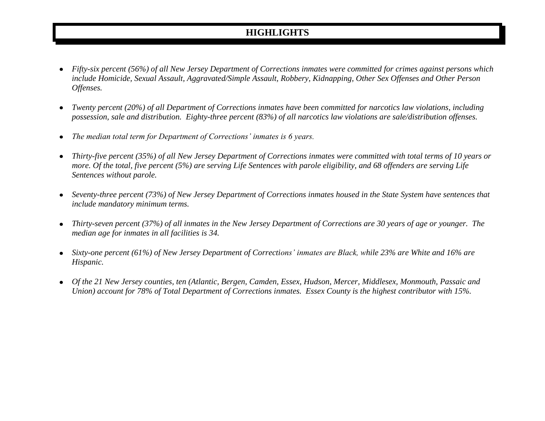## **HIGHLIGHTS**

- *Fifty-six percent (56%) of all New Jersey Department of Corrections inmates were committed for crimes against persons which*   $\bullet$ *include Homicide, Sexual Assault, Aggravated/Simple Assault, Robbery, Kidnapping, Other Sex Offenses and Other Person Offenses.*
- *Twenty percent (20%) of all Department of Corrections inmates have been committed for narcotics law violations, including possession, sale and distribution. Eighty-three percent (83%) of all narcotics law violations are sale/distribution offenses.*
- *The median total term for Department of Corrections' inmates is 6 years.*  $\bullet$
- *Thirty-five percent (35%) of all New Jersey Department of Corrections inmates were committed with total terms of 10 years or*   $\bullet$ *more. Of the total, five percent (5%) are serving Life Sentences with parole eligibility, and 68 offenders are serving Life Sentences without parole.*
- *Seventy-three percent (73%) of New Jersey Department of Corrections inmates housed in the State System have sentences that include mandatory minimum terms.*
- *Thirty-seven percent (37%) of all inmates in the New Jersey Department of Corrections are 30 years of age or younger. The median age for inmates in all facilities is 34.*
- *Sixty-one percent (61%) of New Jersey Department of Corrections' inmates are Black, while 23% are White and 16% are Hispanic.*
- *Of the 21 New Jersey counties, ten (Atlantic, Bergen, Camden, Essex, Hudson, Mercer, Middlesex, Monmouth, Passaic and Union) account for 78% of Total Department of Corrections inmates. Essex County is the highest contributor with 15%.*